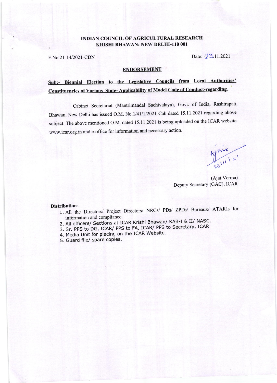## INDIAN COUNCIL OF AGRICULTURAL RESEARCH KRISHI BHAWAN: NEW DELHI-I10 001

F.No.21-14/2021-CDN Date: -23.11.2021

### ENDORSEMENT

# Sub:- Biennial Election to the Legislative Councils from Local Authorities' Constituencies of Various State- Applicability of Model Code of Conduct-regarding.

Cabinet Secretariat (Mantrimandal Sachivalaya), Govt. of India, Rashtrapati Bhawan, New Delhi has issued o.M. No.l/41/I/2021-Cab dated 15.11.2021 regarding above subject. The above mentioned O.M. dated 15.11.2021 is being uploaded on the ICAR website www.icar.org.in and e-office for information and necessary action.

 $\frac{1}{111}$ 

(Ajai Verma) Deputy Secretary (GAC), ICAR

#### Distribution:-

- 1 . All the Directors/ Project Directors/ NRCs/ PDs/ ZPDs/ Bureaux/ ATARIs for information and compliance.
- 2. All officers/ Sections at ICAR Krishi Bhawan/ KAB-I & II/ NASC.
- 3. Sr. PPS to DG, ICAR/ PPS to FA, ICAR/ PPS to Secretary, ICAR
- 4. Media Unit for placing on the ICAR Website.
- 5. Guard file/ spare copies.